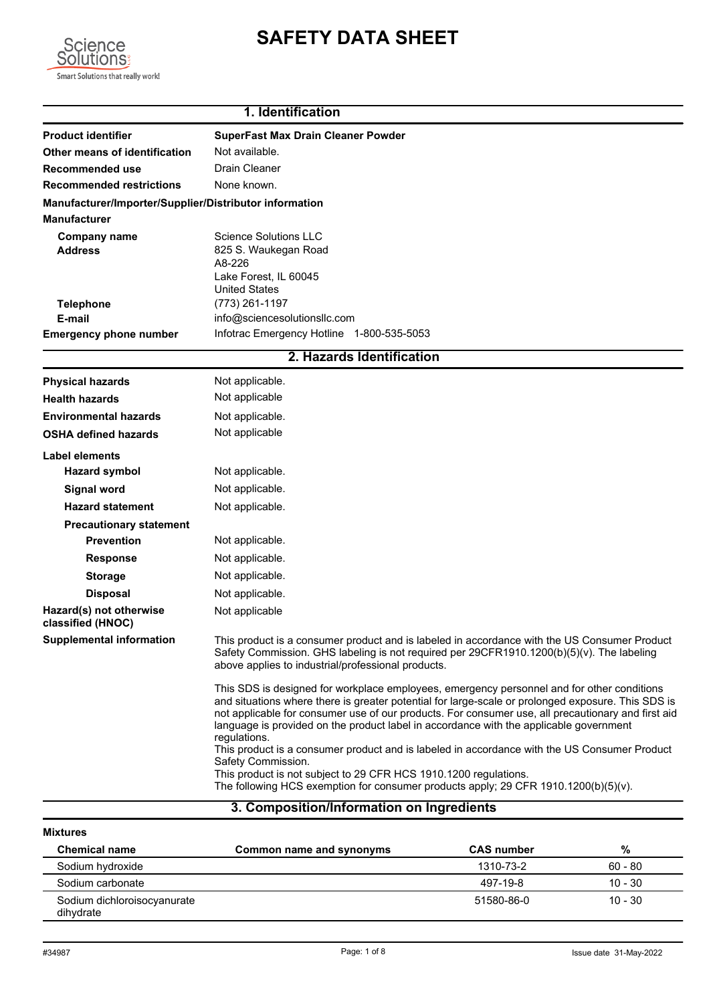# **SAFETY DATA SHEET**



### **1. Identification**

| <b>Product identifier</b>                              | <b>SuperFast Max Drain Cleaner Powder</b>                                                                                                                                                                                                                                                                                                                                                                                                                                                                                              |
|--------------------------------------------------------|----------------------------------------------------------------------------------------------------------------------------------------------------------------------------------------------------------------------------------------------------------------------------------------------------------------------------------------------------------------------------------------------------------------------------------------------------------------------------------------------------------------------------------------|
| Other means of identification                          | Not available.                                                                                                                                                                                                                                                                                                                                                                                                                                                                                                                         |
| Recommended use                                        | <b>Drain Cleaner</b>                                                                                                                                                                                                                                                                                                                                                                                                                                                                                                                   |
| <b>Recommended restrictions</b>                        | None known.                                                                                                                                                                                                                                                                                                                                                                                                                                                                                                                            |
| Manufacturer/Importer/Supplier/Distributor information |                                                                                                                                                                                                                                                                                                                                                                                                                                                                                                                                        |
| <b>Manufacturer</b>                                    |                                                                                                                                                                                                                                                                                                                                                                                                                                                                                                                                        |
| <b>Company name</b>                                    | <b>Science Solutions LLC</b>                                                                                                                                                                                                                                                                                                                                                                                                                                                                                                           |
| <b>Address</b>                                         | 825 S. Waukegan Road                                                                                                                                                                                                                                                                                                                                                                                                                                                                                                                   |
|                                                        | A8-226<br>Lake Forest, IL 60045                                                                                                                                                                                                                                                                                                                                                                                                                                                                                                        |
|                                                        | <b>United States</b>                                                                                                                                                                                                                                                                                                                                                                                                                                                                                                                   |
| <b>Telephone</b>                                       | (773) 261-1197                                                                                                                                                                                                                                                                                                                                                                                                                                                                                                                         |
| E-mail                                                 | info@sciencesolutionsllc.com                                                                                                                                                                                                                                                                                                                                                                                                                                                                                                           |
| <b>Emergency phone number</b>                          | Infotrac Emergency Hotline 1-800-535-5053                                                                                                                                                                                                                                                                                                                                                                                                                                                                                              |
|                                                        | 2. Hazards Identification                                                                                                                                                                                                                                                                                                                                                                                                                                                                                                              |
| <b>Physical hazards</b>                                | Not applicable.                                                                                                                                                                                                                                                                                                                                                                                                                                                                                                                        |
| <b>Health hazards</b>                                  | Not applicable                                                                                                                                                                                                                                                                                                                                                                                                                                                                                                                         |
| <b>Environmental hazards</b>                           | Not applicable.                                                                                                                                                                                                                                                                                                                                                                                                                                                                                                                        |
| <b>OSHA defined hazards</b>                            | Not applicable                                                                                                                                                                                                                                                                                                                                                                                                                                                                                                                         |
| Label elements                                         |                                                                                                                                                                                                                                                                                                                                                                                                                                                                                                                                        |
| <b>Hazard symbol</b>                                   | Not applicable.                                                                                                                                                                                                                                                                                                                                                                                                                                                                                                                        |
| <b>Signal word</b>                                     | Not applicable.                                                                                                                                                                                                                                                                                                                                                                                                                                                                                                                        |
| <b>Hazard statement</b>                                | Not applicable.                                                                                                                                                                                                                                                                                                                                                                                                                                                                                                                        |
| <b>Precautionary statement</b>                         |                                                                                                                                                                                                                                                                                                                                                                                                                                                                                                                                        |
| <b>Prevention</b>                                      | Not applicable.                                                                                                                                                                                                                                                                                                                                                                                                                                                                                                                        |
| <b>Response</b>                                        | Not applicable.                                                                                                                                                                                                                                                                                                                                                                                                                                                                                                                        |
| <b>Storage</b>                                         | Not applicable.                                                                                                                                                                                                                                                                                                                                                                                                                                                                                                                        |
| <b>Disposal</b>                                        | Not applicable.                                                                                                                                                                                                                                                                                                                                                                                                                                                                                                                        |
| Hazard(s) not otherwise<br>classified (HNOC)           | Not applicable                                                                                                                                                                                                                                                                                                                                                                                                                                                                                                                         |
| <b>Supplemental information</b>                        | This product is a consumer product and is labeled in accordance with the US Consumer Product<br>Safety Commission. GHS labeling is not required per 29CFR1910.1200(b)(5)(v). The labeling<br>above applies to industrial/professional products.                                                                                                                                                                                                                                                                                        |
|                                                        | This SDS is designed for workplace employees, emergency personnel and for other conditions<br>and situations where there is greater potential for large-scale or prolonged exposure. This SDS is<br>not applicable for consumer use of our products. For consumer use, all precautionary and first aid<br>language is provided on the product label in accordance with the applicable government<br>regulations.<br>This product is a consumer product and is labeled in accordance with the US Consumer Product<br>Safety Commission. |
|                                                        | This product is not subject to 29 CFR HCS 1910.1200 regulations.<br>The following HCS exemption for consumer products apply; 29 CFR 1910.1200(b)(5)(v).                                                                                                                                                                                                                                                                                                                                                                                |
|                                                        | 3. Composition/Information on Ingredients                                                                                                                                                                                                                                                                                                                                                                                                                                                                                              |

#### **Mixtures**

| <b>Chemical name</b>                     | Common name and synonyms | <b>CAS number</b> | %         |
|------------------------------------------|--------------------------|-------------------|-----------|
| Sodium hydroxide                         |                          | 1310-73-2         | $60 - 80$ |
| Sodium carbonate                         |                          | 497-19-8          | $10 - 30$ |
| Sodium dichloroisocyanurate<br>dihydrate |                          | 51580-86-0        | $10 - 30$ |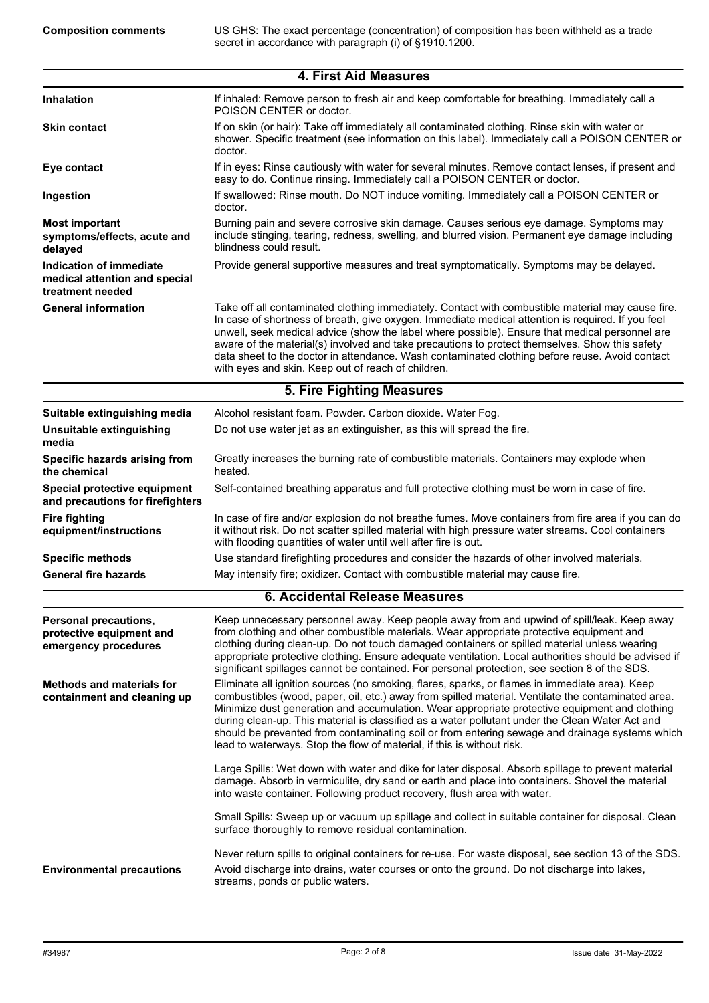| <b>4. First Aid Measures</b>                                                 |                                                                                                                                                                                                                                                                                                                                                                                                                                                                                                                                                                                      |  |  |  |
|------------------------------------------------------------------------------|--------------------------------------------------------------------------------------------------------------------------------------------------------------------------------------------------------------------------------------------------------------------------------------------------------------------------------------------------------------------------------------------------------------------------------------------------------------------------------------------------------------------------------------------------------------------------------------|--|--|--|
| <b>Inhalation</b>                                                            | If inhaled: Remove person to fresh air and keep comfortable for breathing. Immediately call a<br>POISON CENTER or doctor.                                                                                                                                                                                                                                                                                                                                                                                                                                                            |  |  |  |
| <b>Skin contact</b>                                                          | If on skin (or hair): Take off immediately all contaminated clothing. Rinse skin with water or<br>shower. Specific treatment (see information on this label). Immediately call a POISON CENTER or<br>doctor.                                                                                                                                                                                                                                                                                                                                                                         |  |  |  |
| Eye contact                                                                  | If in eyes: Rinse cautiously with water for several minutes. Remove contact lenses, if present and<br>easy to do. Continue rinsing. Immediately call a POISON CENTER or doctor.                                                                                                                                                                                                                                                                                                                                                                                                      |  |  |  |
| Ingestion                                                                    | If swallowed: Rinse mouth. Do NOT induce vomiting. Immediately call a POISON CENTER or<br>doctor.                                                                                                                                                                                                                                                                                                                                                                                                                                                                                    |  |  |  |
| <b>Most important</b><br>symptoms/effects, acute and<br>delayed              | Burning pain and severe corrosive skin damage. Causes serious eye damage. Symptoms may<br>include stinging, tearing, redness, swelling, and blurred vision. Permanent eye damage including<br>blindness could result.                                                                                                                                                                                                                                                                                                                                                                |  |  |  |
| Indication of immediate<br>medical attention and special<br>treatment needed | Provide general supportive measures and treat symptomatically. Symptoms may be delayed.                                                                                                                                                                                                                                                                                                                                                                                                                                                                                              |  |  |  |
| <b>General information</b>                                                   | Take off all contaminated clothing immediately. Contact with combustible material may cause fire.<br>In case of shortness of breath, give oxygen. Immediate medical attention is required. If you feel<br>unwell, seek medical advice (show the label where possible). Ensure that medical personnel are<br>aware of the material(s) involved and take precautions to protect themselves. Show this safety<br>data sheet to the doctor in attendance. Wash contaminated clothing before reuse. Avoid contact<br>with eyes and skin. Keep out of reach of children.                   |  |  |  |
|                                                                              | 5. Fire Fighting Measures                                                                                                                                                                                                                                                                                                                                                                                                                                                                                                                                                            |  |  |  |
| Suitable extinguishing media                                                 | Alcohol resistant foam. Powder. Carbon dioxide. Water Fog.                                                                                                                                                                                                                                                                                                                                                                                                                                                                                                                           |  |  |  |
| Unsuitable extinguishing<br>media                                            | Do not use water jet as an extinguisher, as this will spread the fire.                                                                                                                                                                                                                                                                                                                                                                                                                                                                                                               |  |  |  |
| Specific hazards arising from<br>the chemical                                | Greatly increases the burning rate of combustible materials. Containers may explode when<br>heated.                                                                                                                                                                                                                                                                                                                                                                                                                                                                                  |  |  |  |
| Special protective equipment<br>and precautions for firefighters             | Self-contained breathing apparatus and full protective clothing must be worn in case of fire.                                                                                                                                                                                                                                                                                                                                                                                                                                                                                        |  |  |  |
| <b>Fire fighting</b><br>equipment/instructions                               | In case of fire and/or explosion do not breathe fumes. Move containers from fire area if you can do<br>it without risk. Do not scatter spilled material with high pressure water streams. Cool containers<br>with flooding quantities of water until well after fire is out.                                                                                                                                                                                                                                                                                                         |  |  |  |
| <b>Specific methods</b>                                                      | Use standard firefighting procedures and consider the hazards of other involved materials.                                                                                                                                                                                                                                                                                                                                                                                                                                                                                           |  |  |  |
| <b>General fire hazards</b>                                                  | May intensify fire; oxidizer. Contact with combustible material may cause fire.                                                                                                                                                                                                                                                                                                                                                                                                                                                                                                      |  |  |  |
| 6. Accidental Release Measures                                               |                                                                                                                                                                                                                                                                                                                                                                                                                                                                                                                                                                                      |  |  |  |
| Personal precautions,<br>protective equipment and<br>emergency procedures    | Keep unnecessary personnel away. Keep people away from and upwind of spill/leak. Keep away<br>from clothing and other combustible materials. Wear appropriate protective equipment and<br>clothing during clean-up. Do not touch damaged containers or spilled material unless wearing<br>appropriate protective clothing. Ensure adequate ventilation. Local authorities should be advised if<br>significant spillages cannot be contained. For personal protection, see section 8 of the SDS.                                                                                      |  |  |  |
| <b>Methods and materials for</b><br>containment and cleaning up              | Eliminate all ignition sources (no smoking, flares, sparks, or flames in immediate area). Keep<br>combustibles (wood, paper, oil, etc.) away from spilled material. Ventilate the contaminated area.<br>Minimize dust generation and accumulation. Wear appropriate protective equipment and clothing<br>during clean-up. This material is classified as a water pollutant under the Clean Water Act and<br>should be prevented from contaminating soil or from entering sewage and drainage systems which<br>lead to waterways. Stop the flow of material, if this is without risk. |  |  |  |
|                                                                              | Large Spills: Wet down with water and dike for later disposal. Absorb spillage to prevent material<br>damage. Absorb in vermiculite, dry sand or earth and place into containers. Shovel the material<br>into waste container. Following product recovery, flush area with water.                                                                                                                                                                                                                                                                                                    |  |  |  |
|                                                                              | Small Spills: Sweep up or vacuum up spillage and collect in suitable container for disposal. Clean<br>surface thoroughly to remove residual contamination.                                                                                                                                                                                                                                                                                                                                                                                                                           |  |  |  |
| <b>Environmental precautions</b>                                             | Never return spills to original containers for re-use. For waste disposal, see section 13 of the SDS.<br>Avoid discharge into drains, water courses or onto the ground. Do not discharge into lakes,<br>streams, ponds or public waters.                                                                                                                                                                                                                                                                                                                                             |  |  |  |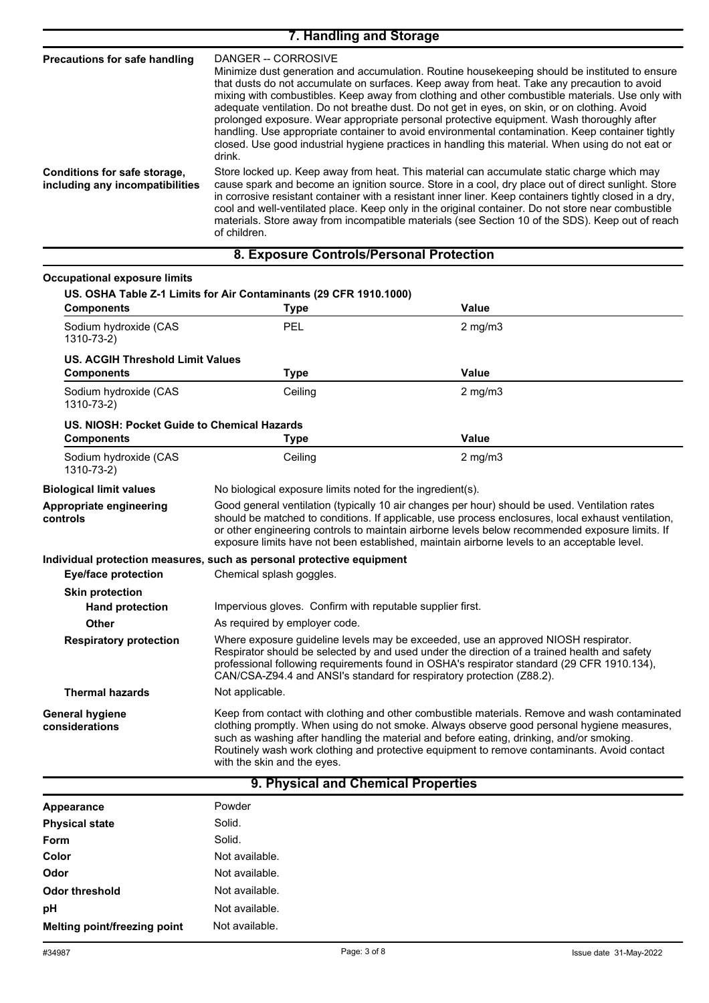## **7. Handling and Storage**

| Precautions for safe handling                                   | DANGER -- CORROSIVE<br>Minimize dust generation and accumulation. Routine housekeeping should be instituted to ensure<br>that dusts do not accumulate on surfaces. Keep away from heat. Take any precaution to avoid<br>mixing with combustibles. Keep away from clothing and other combustible materials. Use only with<br>adequate ventilation. Do not breathe dust. Do not get in eyes, on skin, or on clothing. Avoid<br>prolonged exposure. Wear appropriate personal protective equipment. Wash thoroughly after<br>handling. Use appropriate container to avoid environmental contamination. Keep container tightly<br>closed. Use good industrial hygiene practices in handling this material. When using do not eat or<br>drink. |
|-----------------------------------------------------------------|-------------------------------------------------------------------------------------------------------------------------------------------------------------------------------------------------------------------------------------------------------------------------------------------------------------------------------------------------------------------------------------------------------------------------------------------------------------------------------------------------------------------------------------------------------------------------------------------------------------------------------------------------------------------------------------------------------------------------------------------|
| Conditions for safe storage,<br>including any incompatibilities | Store locked up. Keep away from heat. This material can accumulate static charge which may<br>cause spark and become an ignition source. Store in a cool, dry place out of direct sunlight. Store<br>in corrosive resistant container with a resistant inner liner. Keep containers tightly closed in a dry,<br>cool and well-ventilated place. Keep only in the original container. Do not store near combustible<br>materials. Store away from incompatible materials (see Section 10 of the SDS). Keep out of reach<br>of children.                                                                                                                                                                                                    |

### **8. Exposure Controls/Personal Protection**

| <b>Occupational exposure limits</b>                      |                                                                                                                                                                                                                                                                                                                                                                                                        |                                                                                                                                                                                                                                                                                                                                                                                        |
|----------------------------------------------------------|--------------------------------------------------------------------------------------------------------------------------------------------------------------------------------------------------------------------------------------------------------------------------------------------------------------------------------------------------------------------------------------------------------|----------------------------------------------------------------------------------------------------------------------------------------------------------------------------------------------------------------------------------------------------------------------------------------------------------------------------------------------------------------------------------------|
|                                                          | US. OSHA Table Z-1 Limits for Air Contaminants (29 CFR 1910.1000)                                                                                                                                                                                                                                                                                                                                      | Value                                                                                                                                                                                                                                                                                                                                                                                  |
| <b>Components</b><br>Sodium hydroxide (CAS<br>1310-73-2) | <b>Type</b><br>PEL                                                                                                                                                                                                                                                                                                                                                                                     | $2$ mg/m $3$                                                                                                                                                                                                                                                                                                                                                                           |
| <b>US. ACGIH Threshold Limit Values</b>                  |                                                                                                                                                                                                                                                                                                                                                                                                        |                                                                                                                                                                                                                                                                                                                                                                                        |
| <b>Components</b>                                        | <b>Type</b>                                                                                                                                                                                                                                                                                                                                                                                            | <b>Value</b>                                                                                                                                                                                                                                                                                                                                                                           |
| Sodium hydroxide (CAS<br>1310-73-2)                      | Ceiling                                                                                                                                                                                                                                                                                                                                                                                                | $2$ mg/m $3$                                                                                                                                                                                                                                                                                                                                                                           |
| US. NIOSH: Pocket Guide to Chemical Hazards              |                                                                                                                                                                                                                                                                                                                                                                                                        |                                                                                                                                                                                                                                                                                                                                                                                        |
| <b>Components</b>                                        | <b>Type</b>                                                                                                                                                                                                                                                                                                                                                                                            | <b>Value</b>                                                                                                                                                                                                                                                                                                                                                                           |
| Sodium hydroxide (CAS<br>1310-73-2)                      | Ceiling                                                                                                                                                                                                                                                                                                                                                                                                | $2$ mg/m $3$                                                                                                                                                                                                                                                                                                                                                                           |
| <b>Biological limit values</b>                           | No biological exposure limits noted for the ingredient(s).                                                                                                                                                                                                                                                                                                                                             |                                                                                                                                                                                                                                                                                                                                                                                        |
| Appropriate engineering<br>controls                      | Good general ventilation (typically 10 air changes per hour) should be used. Ventilation rates<br>should be matched to conditions. If applicable, use process enclosures, local exhaust ventilation,<br>or other engineering controls to maintain airborne levels below recommended exposure limits. If<br>exposure limits have not been established, maintain airborne levels to an acceptable level. |                                                                                                                                                                                                                                                                                                                                                                                        |
|                                                          | Individual protection measures, such as personal protective equipment                                                                                                                                                                                                                                                                                                                                  |                                                                                                                                                                                                                                                                                                                                                                                        |
| <b>Eye/face protection</b>                               | Chemical splash goggles.                                                                                                                                                                                                                                                                                                                                                                               |                                                                                                                                                                                                                                                                                                                                                                                        |
| <b>Skin protection</b>                                   |                                                                                                                                                                                                                                                                                                                                                                                                        |                                                                                                                                                                                                                                                                                                                                                                                        |
| <b>Hand protection</b>                                   | Impervious gloves. Confirm with reputable supplier first.                                                                                                                                                                                                                                                                                                                                              |                                                                                                                                                                                                                                                                                                                                                                                        |
| <b>Other</b>                                             | As required by employer code.                                                                                                                                                                                                                                                                                                                                                                          |                                                                                                                                                                                                                                                                                                                                                                                        |
| <b>Respiratory protection</b>                            | Where exposure guideline levels may be exceeded, use an approved NIOSH respirator.<br>Respirator should be selected by and used under the direction of a trained health and safety<br>professional following requirements found in OSHA's respirator standard (29 CFR 1910.134),<br>CAN/CSA-Z94.4 and ANSI's standard for respiratory protection (Z88.2).                                              |                                                                                                                                                                                                                                                                                                                                                                                        |
| <b>Thermal hazards</b>                                   | Not applicable.                                                                                                                                                                                                                                                                                                                                                                                        |                                                                                                                                                                                                                                                                                                                                                                                        |
| <b>General hygiene</b><br>considerations                 | with the skin and the eyes.                                                                                                                                                                                                                                                                                                                                                                            | Keep from contact with clothing and other combustible materials. Remove and wash contaminated<br>clothing promptly. When using do not smoke. Always observe good personal hygiene measures,<br>such as washing after handling the material and before eating, drinking, and/or smoking.<br>Routinely wash work clothing and protective equipment to remove contaminants. Avoid contact |

# **9. Physical and Chemical Properties**

| Appearance                   | Powder         |
|------------------------------|----------------|
| <b>Physical state</b>        | Solid.         |
| Form                         | Solid.         |
| Color                        | Not available. |
| Odor                         | Not available. |
| <b>Odor threshold</b>        | Not available. |
| pH                           | Not available. |
| Melting point/freezing point | Not available. |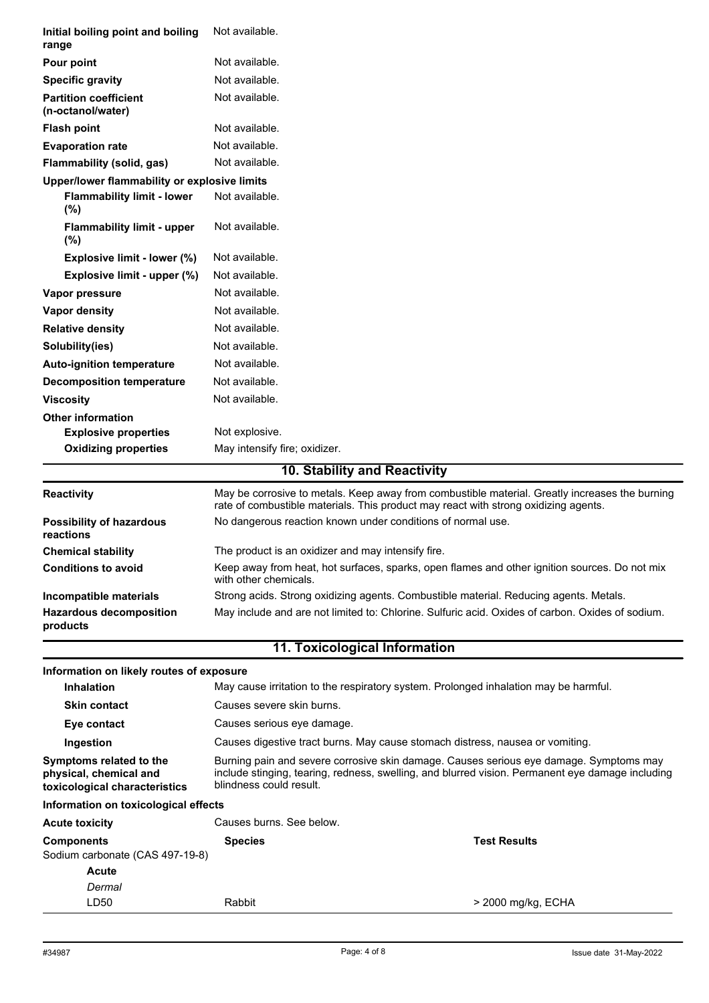| Initial boiling point and boiling<br>range                           | Not available.                                                                                                                                                                                                        |                     |  |  |
|----------------------------------------------------------------------|-----------------------------------------------------------------------------------------------------------------------------------------------------------------------------------------------------------------------|---------------------|--|--|
| Pour point                                                           | Not available.                                                                                                                                                                                                        |                     |  |  |
| <b>Specific gravity</b>                                              | Not available.                                                                                                                                                                                                        |                     |  |  |
| <b>Partition coefficient</b><br>(n-octanol/water)                    | Not available.                                                                                                                                                                                                        |                     |  |  |
| <b>Flash point</b>                                                   | Not available.                                                                                                                                                                                                        |                     |  |  |
| <b>Evaporation rate</b>                                              | Not available.                                                                                                                                                                                                        |                     |  |  |
| Flammability (solid, gas)                                            | Not available.                                                                                                                                                                                                        |                     |  |  |
| Upper/lower flammability or explosive limits                         |                                                                                                                                                                                                                       |                     |  |  |
| <b>Flammability limit - lower</b><br>(%)                             | Not available.                                                                                                                                                                                                        |                     |  |  |
| <b>Flammability limit - upper</b><br>(%)                             | Not available.                                                                                                                                                                                                        |                     |  |  |
| Explosive limit - lower (%)                                          | Not available.                                                                                                                                                                                                        |                     |  |  |
| Explosive limit - upper (%)                                          | Not available.                                                                                                                                                                                                        |                     |  |  |
| Vapor pressure                                                       | Not available.                                                                                                                                                                                                        |                     |  |  |
| <b>Vapor density</b>                                                 | Not available.                                                                                                                                                                                                        |                     |  |  |
| <b>Relative density</b>                                              | Not available.                                                                                                                                                                                                        |                     |  |  |
| Solubility(ies)                                                      | Not available.                                                                                                                                                                                                        |                     |  |  |
| <b>Auto-ignition temperature</b>                                     | Not available.                                                                                                                                                                                                        |                     |  |  |
| <b>Decomposition temperature</b>                                     | Not available.                                                                                                                                                                                                        |                     |  |  |
| <b>Viscosity</b>                                                     | Not available.                                                                                                                                                                                                        |                     |  |  |
| <b>Other information</b>                                             |                                                                                                                                                                                                                       |                     |  |  |
| <b>Explosive properties</b>                                          | Not explosive.                                                                                                                                                                                                        |                     |  |  |
| <b>Oxidizing properties</b>                                          | May intensify fire; oxidizer.                                                                                                                                                                                         |                     |  |  |
| <b>10. Stability and Reactivity</b>                                  |                                                                                                                                                                                                                       |                     |  |  |
|                                                                      |                                                                                                                                                                                                                       |                     |  |  |
| <b>Reactivity</b>                                                    | May be corrosive to metals. Keep away from combustible material. Greatly increases the burning<br>rate of combustible materials. This product may react with strong oxidizing agents.                                 |                     |  |  |
| <b>Possibility of hazardous</b><br>reactions                         | No dangerous reaction known under conditions of normal use.                                                                                                                                                           |                     |  |  |
| <b>Chemical stability</b>                                            | The product is an oxidizer and may intensify fire.                                                                                                                                                                    |                     |  |  |
| <b>Conditions to avoid</b>                                           | Keep away from heat, hot surfaces, sparks, open flames and other ignition sources. Do not mix<br>with other chemicals.                                                                                                |                     |  |  |
| Incompatible materials                                               | Strong acids. Strong oxidizing agents. Combustible material. Reducing agents. Metals.                                                                                                                                 |                     |  |  |
| <b>Hazardous decomposition</b>                                       | May include and are not limited to: Chlorine. Sulfuric acid. Oxides of carbon. Oxides of sodium.                                                                                                                      |                     |  |  |
| products                                                             |                                                                                                                                                                                                                       |                     |  |  |
|                                                                      | 11. Toxicological Information                                                                                                                                                                                         |                     |  |  |
| Information on likely routes of exposure<br><b>Inhalation</b>        | May cause irritation to the respiratory system. Prolonged inhalation may be harmful.                                                                                                                                  |                     |  |  |
| <b>Skin contact</b>                                                  | Causes severe skin burns.                                                                                                                                                                                             |                     |  |  |
| Eye contact                                                          | Causes serious eye damage.                                                                                                                                                                                            |                     |  |  |
| Ingestion                                                            | Causes digestive tract burns. May cause stomach distress, nausea or vomiting.                                                                                                                                         |                     |  |  |
| Symptoms related to the<br>physical, chemical and                    | Burning pain and severe corrosive skin damage. Causes serious eye damage. Symptoms may<br>include stinging, tearing, redness, swelling, and blurred vision. Permanent eye damage including<br>blindness could result. |                     |  |  |
| toxicological characteristics                                        |                                                                                                                                                                                                                       |                     |  |  |
| Information on toxicological effects<br><b>Acute toxicity</b>        | Causes burns, See below.                                                                                                                                                                                              |                     |  |  |
|                                                                      |                                                                                                                                                                                                                       | <b>Test Results</b> |  |  |
| <b>Components</b><br>Sodium carbonate (CAS 497-19-8)<br><b>Acute</b> | <b>Species</b>                                                                                                                                                                                                        |                     |  |  |
| Dermal<br>LD50                                                       | Rabbit                                                                                                                                                                                                                | > 2000 mg/kg, ECHA  |  |  |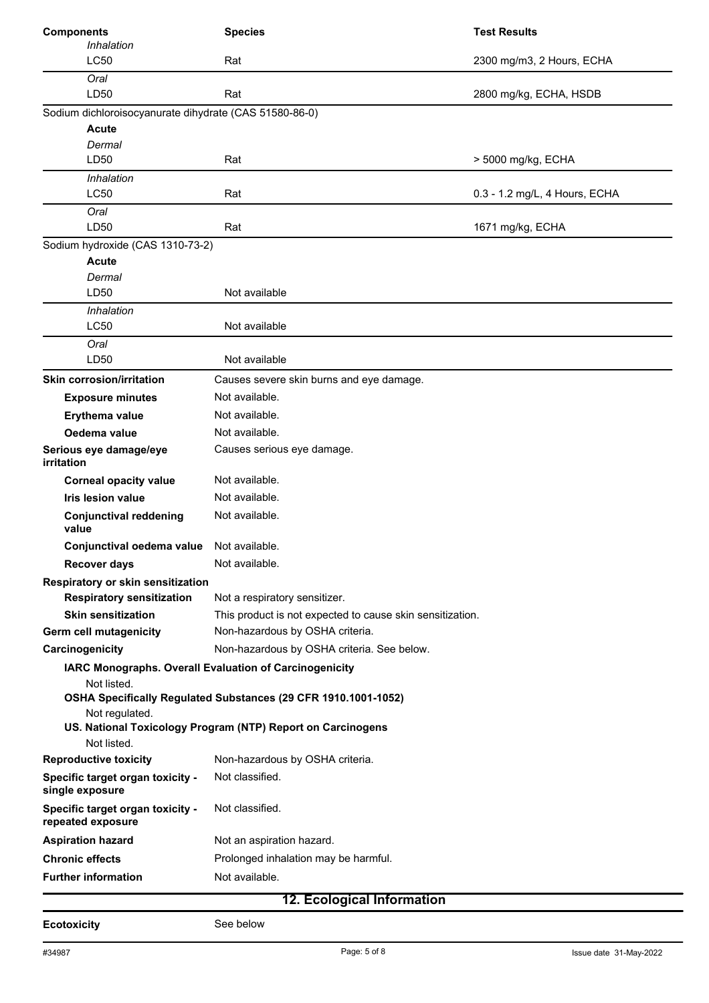| <b>Components</b>                                      | <b>Species</b>                                                 | <b>Test Results</b>           |  |
|--------------------------------------------------------|----------------------------------------------------------------|-------------------------------|--|
| Inhalation                                             |                                                                |                               |  |
| <b>LC50</b>                                            | Rat                                                            | 2300 mg/m3, 2 Hours, ECHA     |  |
| Oral                                                   |                                                                |                               |  |
| LD50                                                   | Rat                                                            | 2800 mg/kg, ECHA, HSDB        |  |
| Sodium dichloroisocyanurate dihydrate (CAS 51580-86-0) |                                                                |                               |  |
| <b>Acute</b>                                           |                                                                |                               |  |
| Dermal                                                 |                                                                |                               |  |
| LD50                                                   | Rat                                                            | > 5000 mg/kg, ECHA            |  |
| Inhalation                                             |                                                                |                               |  |
| <b>LC50</b>                                            | Rat                                                            | 0.3 - 1.2 mg/L, 4 Hours, ECHA |  |
| Oral<br>LD50                                           | Rat                                                            | 1671 mg/kg, ECHA              |  |
| Sodium hydroxide (CAS 1310-73-2)                       |                                                                |                               |  |
| <b>Acute</b>                                           |                                                                |                               |  |
| Dermal                                                 |                                                                |                               |  |
| LD50                                                   | Not available                                                  |                               |  |
| Inhalation                                             |                                                                |                               |  |
| LC50                                                   | Not available                                                  |                               |  |
| Oral                                                   |                                                                |                               |  |
| LD50                                                   | Not available                                                  |                               |  |
| <b>Skin corrosion/irritation</b>                       | Causes severe skin burns and eye damage.                       |                               |  |
| <b>Exposure minutes</b>                                | Not available.                                                 |                               |  |
| Erythema value                                         | Not available.                                                 |                               |  |
| Oedema value                                           | Not available.                                                 |                               |  |
| Serious eye damage/eye<br>irritation                   | Causes serious eye damage.                                     |                               |  |
| <b>Corneal opacity value</b>                           | Not available.                                                 |                               |  |
| Iris lesion value                                      | Not available.                                                 |                               |  |
| <b>Conjunctival reddening</b><br>value                 | Not available.                                                 |                               |  |
| Conjunctival oedema value                              | Not available.                                                 |                               |  |
| <b>Recover days</b>                                    | Not available.                                                 |                               |  |
| Respiratory or skin sensitization                      |                                                                |                               |  |
| <b>Respiratory sensitization</b>                       | Not a respiratory sensitizer.                                  |                               |  |
| <b>Skin sensitization</b>                              | This product is not expected to cause skin sensitization.      |                               |  |
| <b>Germ cell mutagenicity</b>                          | Non-hazardous by OSHA criteria.                                |                               |  |
| Carcinogenicity                                        | Non-hazardous by OSHA criteria. See below.                     |                               |  |
|                                                        | IARC Monographs. Overall Evaluation of Carcinogenicity         |                               |  |
| Not listed.                                            | OSHA Specifically Regulated Substances (29 CFR 1910.1001-1052) |                               |  |
| Not regulated.                                         | US. National Toxicology Program (NTP) Report on Carcinogens    |                               |  |
| Not listed.                                            |                                                                |                               |  |
| <b>Reproductive toxicity</b>                           | Non-hazardous by OSHA criteria.                                |                               |  |
| Specific target organ toxicity -<br>single exposure    | Not classified.                                                |                               |  |
| Specific target organ toxicity -<br>repeated exposure  | Not classified.                                                |                               |  |
| <b>Aspiration hazard</b>                               | Not an aspiration hazard.                                      |                               |  |
| <b>Chronic effects</b>                                 | Prolonged inhalation may be harmful.                           |                               |  |
| <b>Further information</b>                             | Not available.                                                 |                               |  |
| 12. Ecological Information                             |                                                                |                               |  |
|                                                        |                                                                |                               |  |

### **Ecotoxicity** See below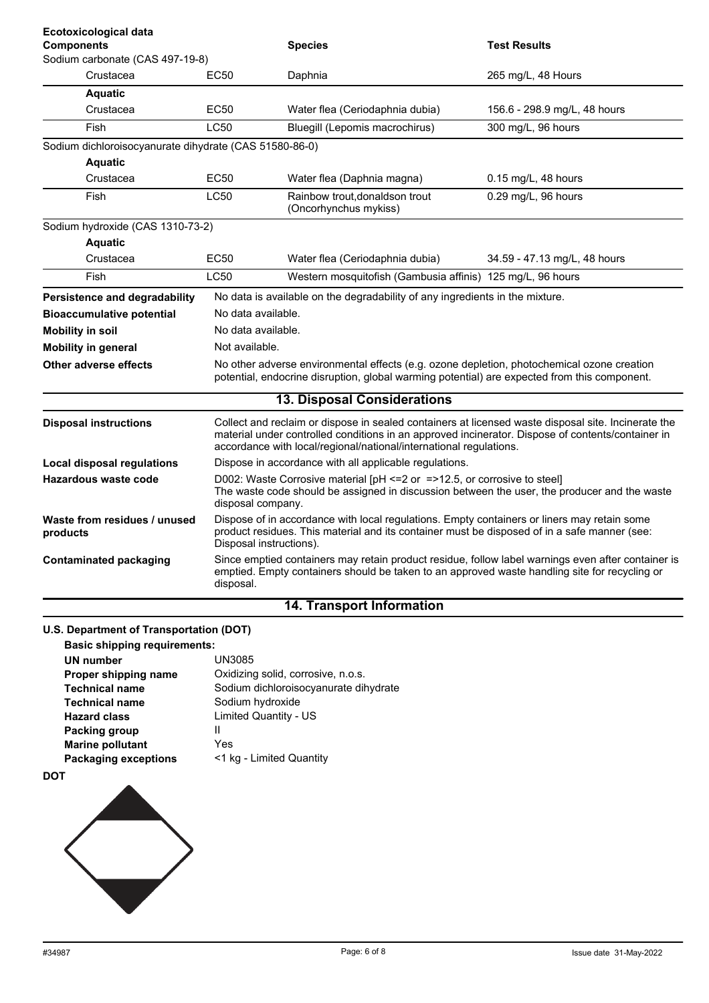| Ecotoxicological data<br><b>Components</b>             |                                                                                                                                                                                                                        | <b>Species</b>                                                                                                                                                                                                                                                                 | <b>Test Results</b>          |
|--------------------------------------------------------|------------------------------------------------------------------------------------------------------------------------------------------------------------------------------------------------------------------------|--------------------------------------------------------------------------------------------------------------------------------------------------------------------------------------------------------------------------------------------------------------------------------|------------------------------|
| Sodium carbonate (CAS 497-19-8)                        |                                                                                                                                                                                                                        |                                                                                                                                                                                                                                                                                |                              |
| Crustacea                                              | EC50                                                                                                                                                                                                                   | Daphnia                                                                                                                                                                                                                                                                        | 265 mg/L, 48 Hours           |
| <b>Aquatic</b>                                         |                                                                                                                                                                                                                        |                                                                                                                                                                                                                                                                                |                              |
| Crustacea                                              | <b>EC50</b>                                                                                                                                                                                                            | Water flea (Ceriodaphnia dubia)                                                                                                                                                                                                                                                | 156.6 - 298.9 mg/L, 48 hours |
| Fish                                                   | LC50                                                                                                                                                                                                                   | Bluegill (Lepomis macrochirus)                                                                                                                                                                                                                                                 | 300 mg/L, 96 hours           |
| Sodium dichloroisocyanurate dihydrate (CAS 51580-86-0) |                                                                                                                                                                                                                        |                                                                                                                                                                                                                                                                                |                              |
| <b>Aquatic</b>                                         |                                                                                                                                                                                                                        |                                                                                                                                                                                                                                                                                |                              |
| Crustacea                                              | EC50                                                                                                                                                                                                                   | Water flea (Daphnia magna)                                                                                                                                                                                                                                                     | 0.15 mg/L, 48 hours          |
| Fish                                                   | LC50                                                                                                                                                                                                                   | Rainbow trout.donaldson trout<br>(Oncorhynchus mykiss)                                                                                                                                                                                                                         | 0.29 mg/L, 96 hours          |
| Sodium hydroxide (CAS 1310-73-2)                       |                                                                                                                                                                                                                        |                                                                                                                                                                                                                                                                                |                              |
| <b>Aquatic</b>                                         |                                                                                                                                                                                                                        |                                                                                                                                                                                                                                                                                |                              |
| Crustacea                                              | <b>EC50</b>                                                                                                                                                                                                            | Water flea (Ceriodaphnia dubia)                                                                                                                                                                                                                                                | 34.59 - 47.13 mg/L, 48 hours |
| <b>Fish</b>                                            | <b>LC50</b>                                                                                                                                                                                                            | Western mosquitofish (Gambusia affinis) 125 mg/L, 96 hours                                                                                                                                                                                                                     |                              |
| Persistence and degradability                          |                                                                                                                                                                                                                        | No data is available on the degradability of any ingredients in the mixture.                                                                                                                                                                                                   |                              |
| <b>Bioaccumulative potential</b>                       | No data available.                                                                                                                                                                                                     |                                                                                                                                                                                                                                                                                |                              |
| <b>Mobility in soil</b>                                | No data available.                                                                                                                                                                                                     |                                                                                                                                                                                                                                                                                |                              |
| <b>Mobility in general</b>                             | Not available.                                                                                                                                                                                                         |                                                                                                                                                                                                                                                                                |                              |
| Other adverse effects                                  |                                                                                                                                                                                                                        | No other adverse environmental effects (e.g. ozone depletion, photochemical ozone creation<br>potential, endocrine disruption, global warming potential) are expected from this component.                                                                                     |                              |
|                                                        |                                                                                                                                                                                                                        | <b>13. Disposal Considerations</b>                                                                                                                                                                                                                                             |                              |
| <b>Disposal instructions</b>                           |                                                                                                                                                                                                                        | Collect and reclaim or dispose in sealed containers at licensed waste disposal site. Incinerate the<br>material under controlled conditions in an approved incinerator. Dispose of contents/container in<br>accordance with local/regional/national/international regulations. |                              |
| <b>Local disposal regulations</b>                      |                                                                                                                                                                                                                        | Dispose in accordance with all applicable regulations.                                                                                                                                                                                                                         |                              |
| <b>Hazardous waste code</b>                            | D002: Waste Corrosive material [pH <= 2 or = > 12.5, or corrosive to steel]<br>The waste code should be assigned in discussion between the user, the producer and the waste<br>disposal company.                       |                                                                                                                                                                                                                                                                                |                              |
| Waste from residues / unused<br>products               | Dispose of in accordance with local regulations. Empty containers or liners may retain some<br>product residues. This material and its container must be disposed of in a safe manner (see:<br>Disposal instructions). |                                                                                                                                                                                                                                                                                |                              |
| <b>Contaminated packaging</b>                          | disposal.                                                                                                                                                                                                              | Since emptied containers may retain product residue, follow label warnings even after container is<br>emptied. Empty containers should be taken to an approved waste handling site for recycling or                                                                            |                              |

### **14. Transport Information**

### **U.S. Department of Transportation (DOT)**

| <b>Basic shipping requirements:</b> |                                       |
|-------------------------------------|---------------------------------------|
| UN number                           | UN3085                                |
| Proper shipping name                | Oxidizing solid, corrosive, n.o.s.    |
| <b>Technical name</b>               | Sodium dichloroisocyanurate dihydrate |
| <b>Technical name</b>               | Sodium hydroxide                      |
| <b>Hazard class</b>                 | <b>Limited Quantity - US</b>          |
| Packing group                       | Ш                                     |
| <b>Marine pollutant</b>             | Yes                                   |
| <b>Packaging exceptions</b>         | <1 kg - Limited Quantity              |
|                                     |                                       |

**DOT**

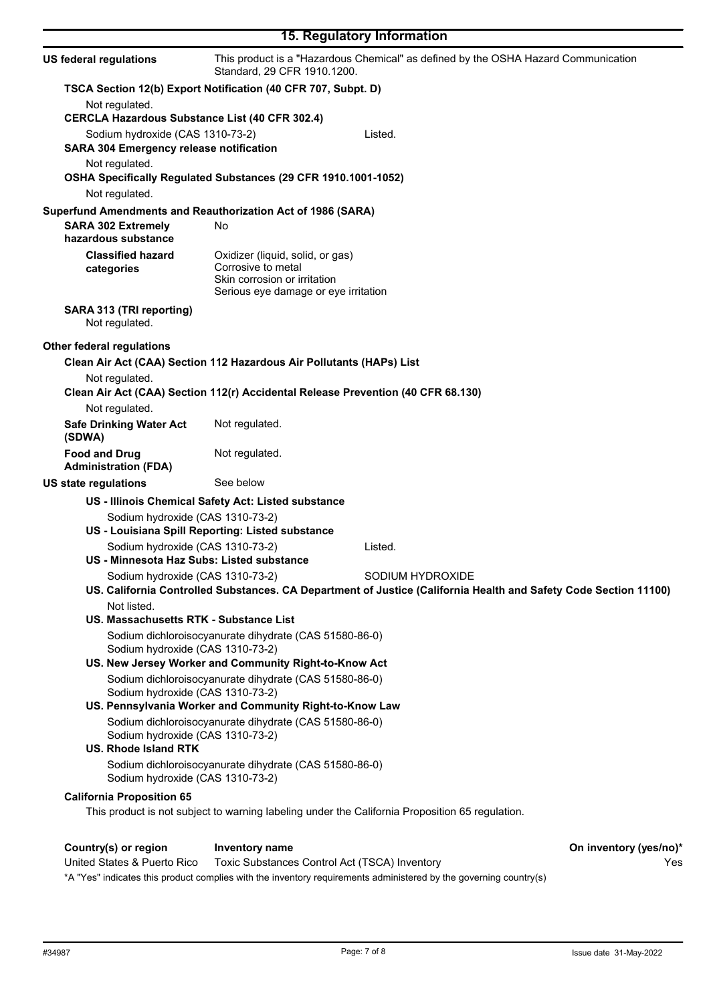|                                                                                    |                                                                                  | 15. Regulatory Information                                                                                       |  |
|------------------------------------------------------------------------------------|----------------------------------------------------------------------------------|------------------------------------------------------------------------------------------------------------------|--|
| <b>US federal regulations</b>                                                      | Standard, 29 CFR 1910.1200.                                                      | This product is a "Hazardous Chemical" as defined by the OSHA Hazard Communication                               |  |
|                                                                                    | TSCA Section 12(b) Export Notification (40 CFR 707, Subpt. D)                    |                                                                                                                  |  |
| Not regulated.                                                                     |                                                                                  |                                                                                                                  |  |
| <b>CERCLA Hazardous Substance List (40 CFR 302.4)</b>                              |                                                                                  |                                                                                                                  |  |
| Sodium hydroxide (CAS 1310-73-2)<br><b>SARA 304 Emergency release notification</b> |                                                                                  | Listed.                                                                                                          |  |
| Not regulated.                                                                     |                                                                                  |                                                                                                                  |  |
| Not regulated.                                                                     | OSHA Specifically Regulated Substances (29 CFR 1910.1001-1052)                   |                                                                                                                  |  |
| Superfund Amendments and Reauthorization Act of 1986 (SARA)                        |                                                                                  |                                                                                                                  |  |
| <b>SARA 302 Extremely</b><br>hazardous substance                                   | No                                                                               |                                                                                                                  |  |
| <b>Classified hazard</b>                                                           | Oxidizer (liquid, solid, or gas)                                                 |                                                                                                                  |  |
| categories                                                                         | Corrosive to metal                                                               |                                                                                                                  |  |
|                                                                                    | Skin corrosion or irritation<br>Serious eye damage or eye irritation             |                                                                                                                  |  |
| SARA 313 (TRI reporting)                                                           |                                                                                  |                                                                                                                  |  |
| Not regulated.                                                                     |                                                                                  |                                                                                                                  |  |
| <b>Other federal regulations</b>                                                   |                                                                                  |                                                                                                                  |  |
|                                                                                    | Clean Air Act (CAA) Section 112 Hazardous Air Pollutants (HAPs) List             |                                                                                                                  |  |
| Not regulated.                                                                     |                                                                                  |                                                                                                                  |  |
|                                                                                    | Clean Air Act (CAA) Section 112(r) Accidental Release Prevention (40 CFR 68.130) |                                                                                                                  |  |
| Not regulated.<br><b>Safe Drinking Water Act</b>                                   | Not regulated.                                                                   |                                                                                                                  |  |
| (SDWA)                                                                             |                                                                                  |                                                                                                                  |  |
| <b>Food and Drug</b><br><b>Administration (FDA)</b>                                | Not regulated.                                                                   |                                                                                                                  |  |
| <b>US state regulations</b>                                                        | See below                                                                        |                                                                                                                  |  |
|                                                                                    | US - Illinois Chemical Safety Act: Listed substance                              |                                                                                                                  |  |
| Sodium hydroxide (CAS 1310-73-2)                                                   |                                                                                  |                                                                                                                  |  |
|                                                                                    | US - Louisiana Spill Reporting: Listed substance                                 |                                                                                                                  |  |
| Sodium hydroxide (CAS 1310-73-2)<br>US - Minnesota Haz Subs: Listed substance      |                                                                                  | Listed.                                                                                                          |  |
| Sodium hydroxide (CAS 1310-73-2)                                                   |                                                                                  | SODIUM HYDROXIDE                                                                                                 |  |
|                                                                                    |                                                                                  | US. California Controlled Substances. CA Department of Justice (California Health and Safety Code Section 11100) |  |
| Not listed.                                                                        |                                                                                  |                                                                                                                  |  |
| US. Massachusetts RTK - Substance List                                             |                                                                                  |                                                                                                                  |  |
|                                                                                    | Sodium dichloroisocyanurate dihydrate (CAS 51580-86-0)                           |                                                                                                                  |  |
| Sodium hydroxide (CAS 1310-73-2)                                                   | US. New Jersey Worker and Community Right-to-Know Act                            |                                                                                                                  |  |
|                                                                                    | Sodium dichloroisocyanurate dihydrate (CAS 51580-86-0)                           |                                                                                                                  |  |
| Sodium hydroxide (CAS 1310-73-2)                                                   |                                                                                  |                                                                                                                  |  |
|                                                                                    | US. Pennsylvania Worker and Community Right-to-Know Law                          |                                                                                                                  |  |
|                                                                                    | Sodium dichloroisocyanurate dihydrate (CAS 51580-86-0)                           |                                                                                                                  |  |
| Sodium hydroxide (CAS 1310-73-2)                                                   |                                                                                  |                                                                                                                  |  |
| <b>US. Rhode Island RTK</b>                                                        | Sodium dichloroisocyanurate dihydrate (CAS 51580-86-0)                           |                                                                                                                  |  |
| Sodium hydroxide (CAS 1310-73-2)                                                   |                                                                                  |                                                                                                                  |  |
| <b>California Proposition 65</b>                                                   |                                                                                  |                                                                                                                  |  |
|                                                                                    |                                                                                  | This product is not subject to warning labeling under the California Proposition 65 regulation.                  |  |
|                                                                                    |                                                                                  |                                                                                                                  |  |
| Country(s) or region                                                               | Inventory name                                                                   | On inventory (yes/no)*                                                                                           |  |